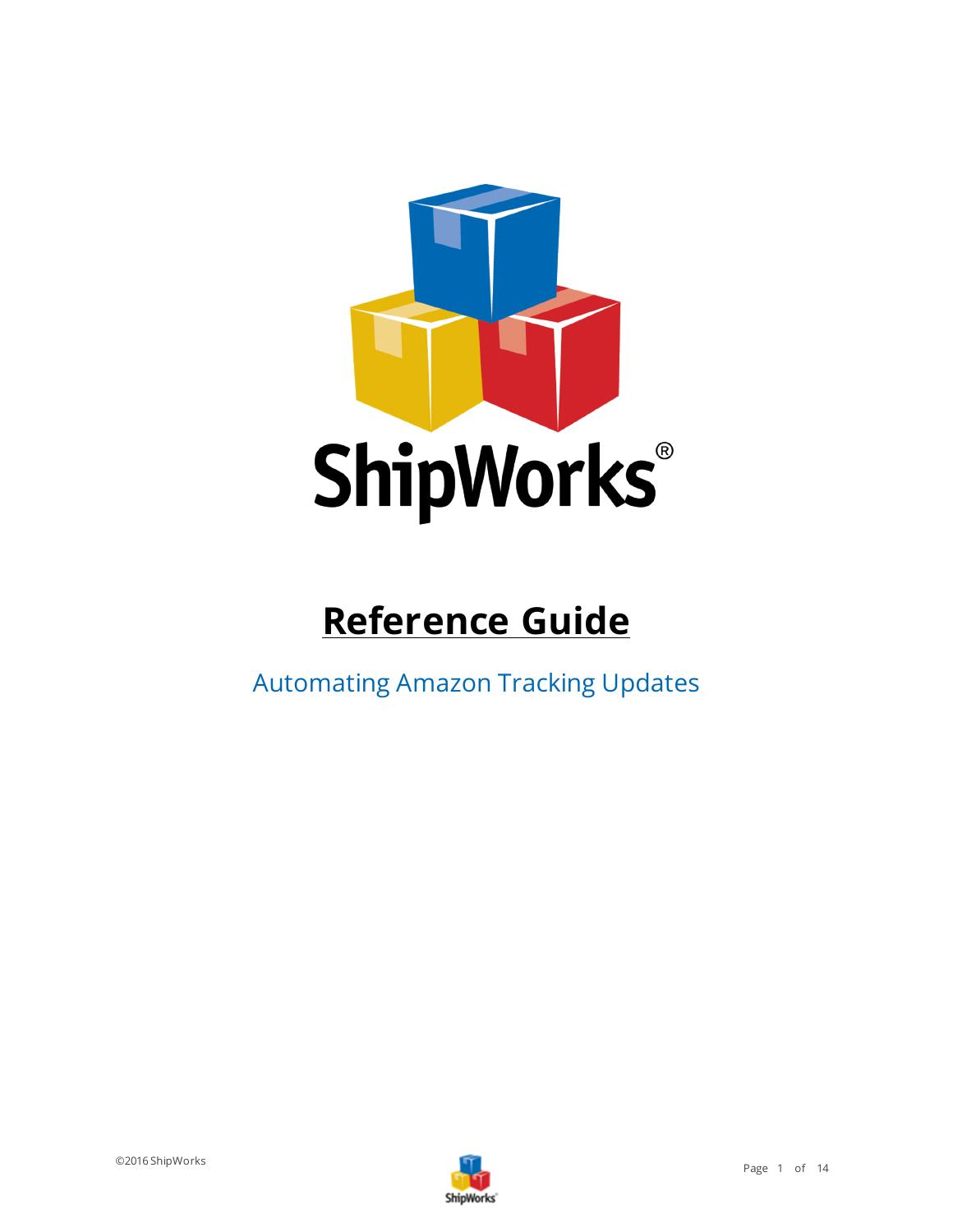

# **Reference Guide**

Automating Amazon Tracking Updates

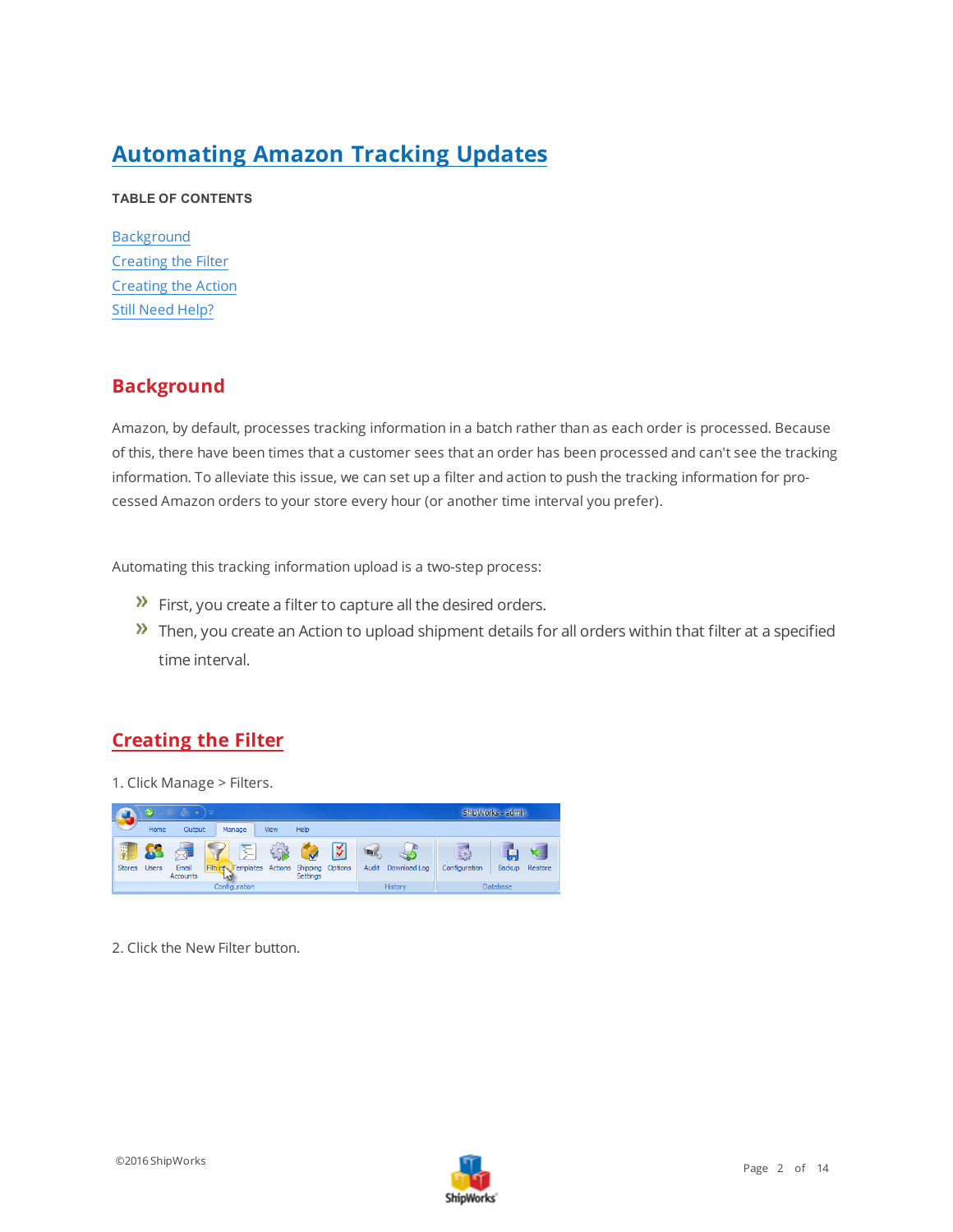## **Automating Amazon Tracking Updates**

#### <span id="page-1-0"></span>**TABLE OF CONTENTS**

**[Background](#page-1-0)** [Creating](#page-1-1) the Filter [Creating](#page-9-0) the Action Still Need [Help?](#page-13-0)

#### **Background**

Amazon, by default, processes tracking information in a batch rather than as each order is processed. Because of this, there have been times that a customer sees that an order has been processed and can't see the tracking information. To alleviate this issue, we can set up a filter and action to push the tracking information for processed Amazon orders to your store every hour (or another time interval you prefer).

Automating this tracking information upload is a two-step process:

- $\mathcal{P}$  First, you create a filter to capture all the desired orders.
- $\lambda$  Then, you create an Action to upload shipment details for all orders within that filter at a specified time interval.

#### <span id="page-1-1"></span>**Creating the Filter**

1. Click Manage > Filters.



2. Click the New Filter button.

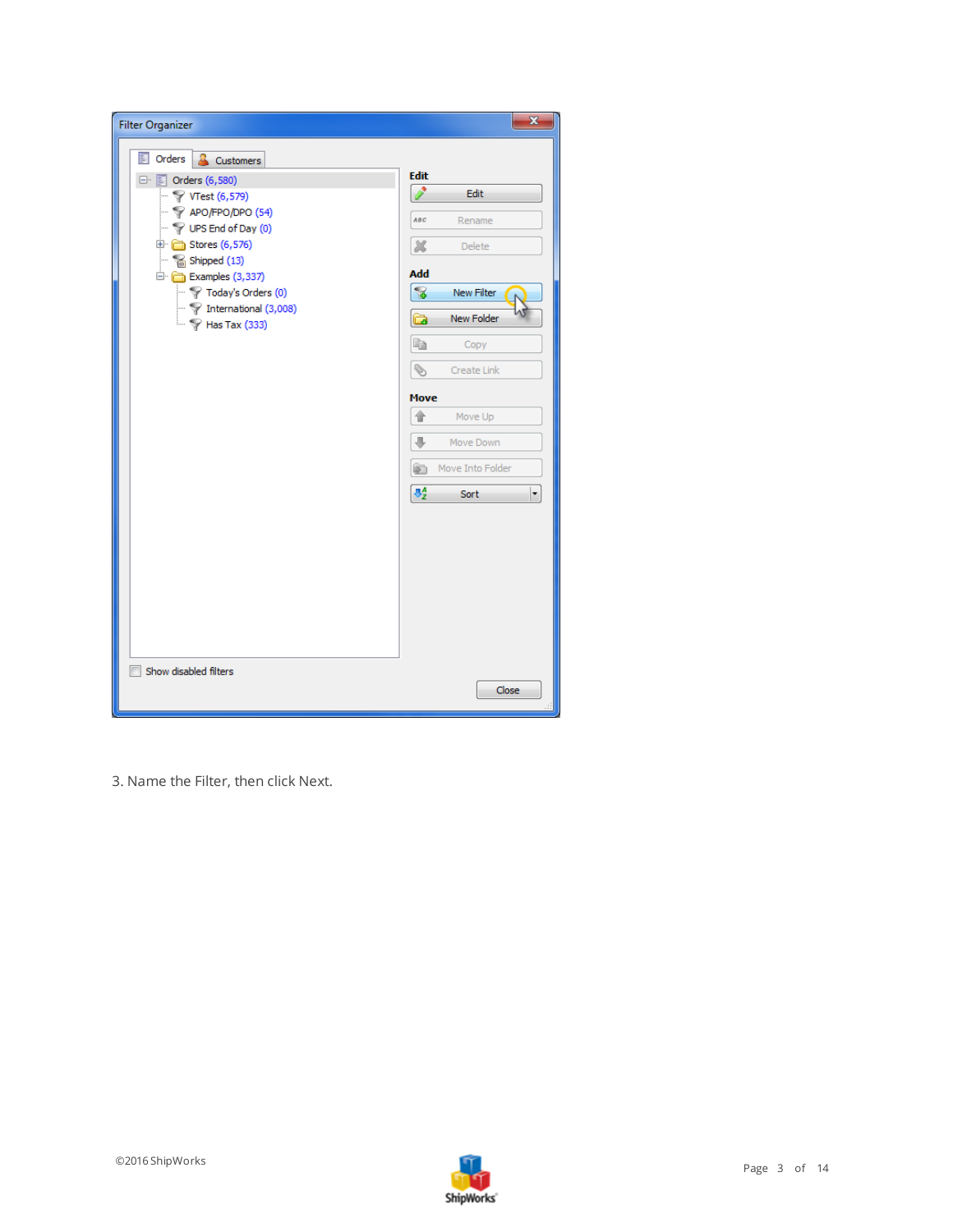| <b>Filter Organizer</b>                                                                                                                                                                                                                                                                                                                                                                                   | $\mathbf{x}$                                                                                                                                                                                                                                                |
|-----------------------------------------------------------------------------------------------------------------------------------------------------------------------------------------------------------------------------------------------------------------------------------------------------------------------------------------------------------------------------------------------------------|-------------------------------------------------------------------------------------------------------------------------------------------------------------------------------------------------------------------------------------------------------------|
| 国<br>Orders<br>д<br>Customers<br>□ <b>D</b> Orders (6,580)<br>$-\sqrt{2}$ VTest (6,579)<br>$\mathcal{P}$ APO/FPO/DPO (54)<br>$\blacksquare$ $\heartsuit$ UPS End of Day (0)<br><b>E</b> Stores (6,576)<br>$\blacksquare$ Shipped (13)<br>Examples (3,337)<br>$\blacktriangleright$ $\blacktriangleright$ Today's Orders (0)<br>$\blacktriangleright$ Thernational (3,008)<br>$\overline{ }$ Has Tax (333) | <b>Edit</b><br>s.<br>Edit<br>ABC<br>Rename<br>x<br>Delete<br><b>Add</b><br>굲<br>New Filter<br><b>New Folder</b><br>ò<br>ë<br>Copy<br>Í<br>Create Link<br><b>Move</b><br>合<br>Move Up<br>J.<br>Move Down<br>Move Into Folder<br>ð<br>$\Phi^A_Z$<br>Sort<br>۰ |
| Show disabled filters                                                                                                                                                                                                                                                                                                                                                                                     | Close                                                                                                                                                                                                                                                       |

3. Name the Filter, then click Next.

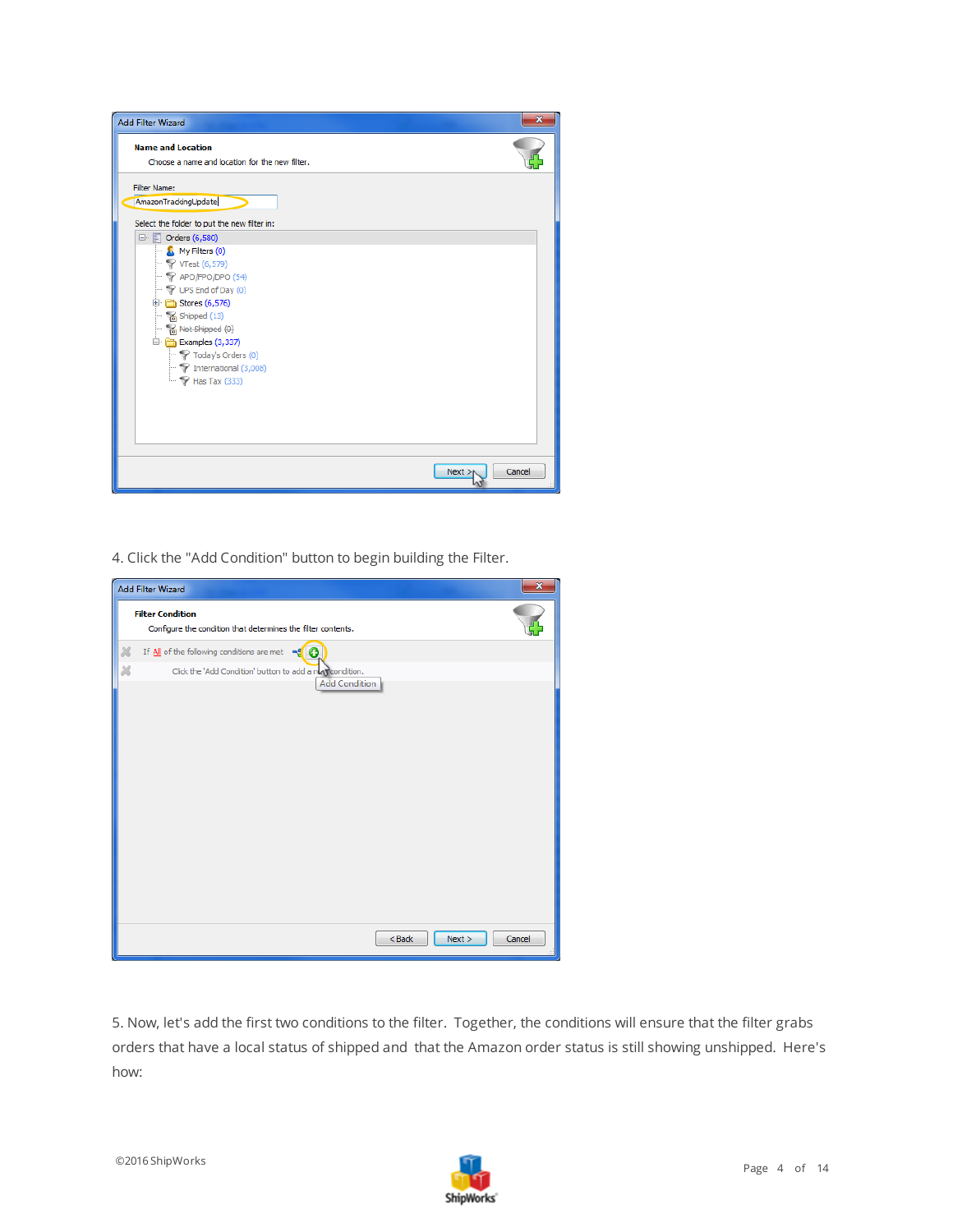

4. Click the "Add Condition" button to begin building the Filter.

|   | <b>Add Filter Wizard</b>                                                                 | $\mathbf{x}$ |
|---|------------------------------------------------------------------------------------------|--------------|
|   | <b>Filter Condition</b><br>Configure the condition that determines the filter contents.  |              |
| × | If $\underline{\mathsf{All}}$ of the following conditions are met $\mathbb{R}^d$ $\odot$ |              |
| Ж | Click the 'Add Condition' button to add a numerondition.<br><b>Add Condition</b>         |              |
|   |                                                                                          |              |
|   |                                                                                          |              |
|   |                                                                                          |              |
|   |                                                                                          |              |
|   |                                                                                          |              |
|   |                                                                                          |              |
|   |                                                                                          |              |
|   |                                                                                          |              |
|   |                                                                                          |              |
|   |                                                                                          |              |
|   |                                                                                          |              |
|   | $<$ Back<br>Next                                                                         | Cancel       |

5. Now, let's add the first two conditions to the filter. Together, the conditions will ensure that the filter grabs orders that have a local status of shipped and that the Amazon order status is still showing unshipped. Here's how:

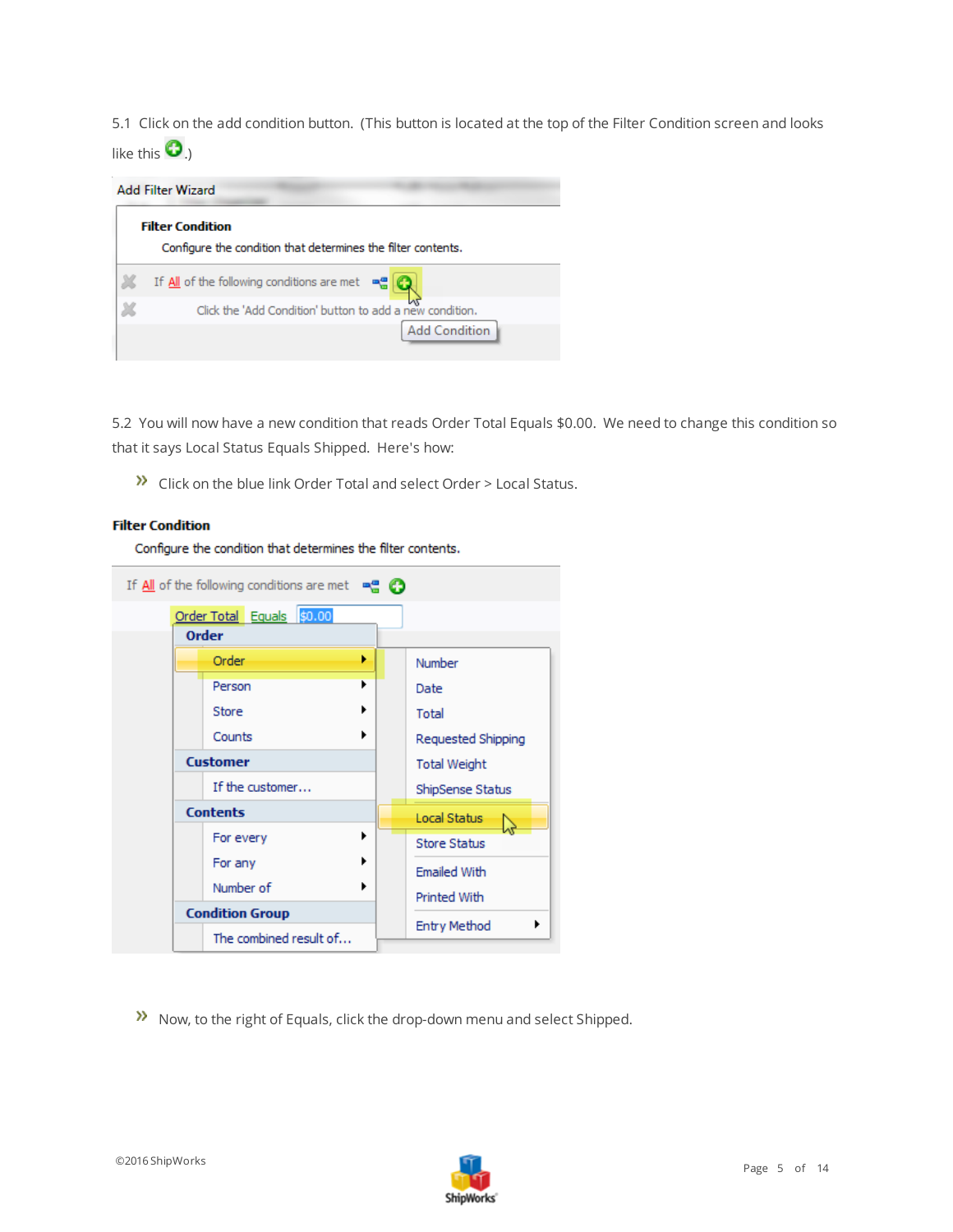5.1 Click on the add condition button. (This button is located at the top of the Filter Condition screen and looks like this  $\mathbf{O}_{.}$ 



5.2 You will now have a new condition that reads Order Total Equals \$0.00. We need to change this condition so that it says Local Status Equals Shipped. Here's how:

 $\sum$  Click on the blue link Order Total and select Order > Local Status.

#### **Filter Condition**

Configure the condition that determines the filter contents.



Now, to the right of Equals, click the drop-down menu and select Shipped.

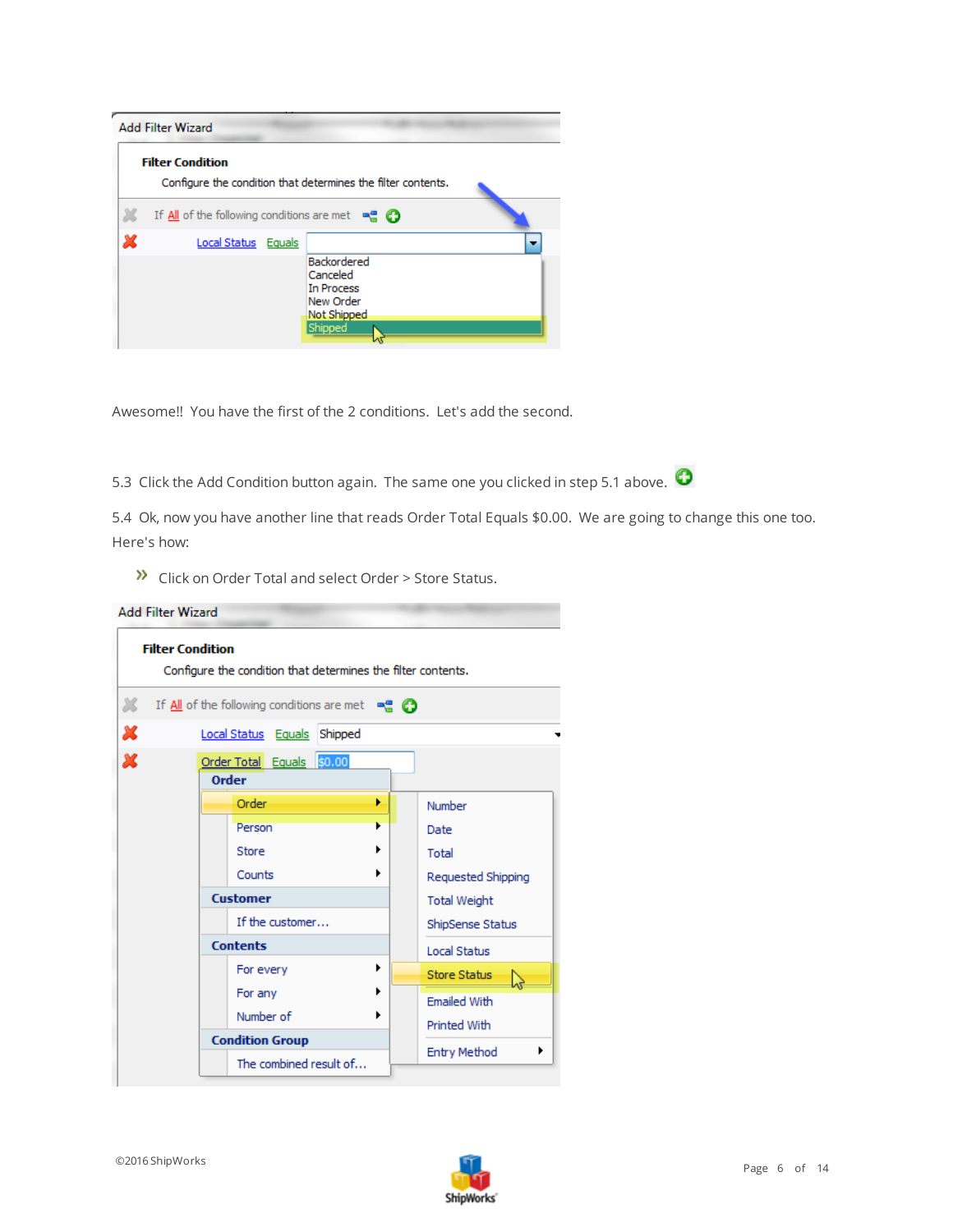| <b>Add Filter Wizard</b>                                                                    |  |                                                                              |  |
|---------------------------------------------------------------------------------------------|--|------------------------------------------------------------------------------|--|
| <b>Filter Condition</b>                                                                     |  | Configure the condition that determines the filter contents.                 |  |
| If $\underline{\mathsf{All}}$ of the following conditions are met $\mathbb{R}^n$ $\bigodot$ |  |                                                                              |  |
| Local Status Equals                                                                         |  |                                                                              |  |
|                                                                                             |  | Backordered<br>Canceled<br>In Process<br>New Order<br>Not Shipped<br>Shipped |  |

Awesome!! You have the first of the 2 conditions. Let's add the second.

5.3 Click the Add Condition button again. The same one you clicked in step 5.1 above.  $\bullet$ 

5.4 Ok, now you have another line that reads Order Total Equals \$0.00. We are going to change this one too. Here's how:

Dubble Click on Order Total and select Order > Store Status.

| <b>Add Filter Wizard</b>                                                                         |                     |
|--------------------------------------------------------------------------------------------------|---------------------|
| <b>Filter Condition</b><br>Configure the condition that determines the filter contents.          |                     |
| x<br>If $\underline{\mathsf{All}}$ of the following conditions are met $\mathbb{R}^n$ $\bigodot$ |                     |
| x<br>Local Status Equals Shipped                                                                 |                     |
| x<br>Order Total Equals \$0.00<br><b>Order</b>                                                   |                     |
| ٠<br>Order                                                                                       | Number              |
| ь<br>Person                                                                                      | Date                |
| Store                                                                                            | Total               |
| Counts                                                                                           | Requested Shipping  |
| <b>Customer</b>                                                                                  | <b>Total Weight</b> |
| If the customer                                                                                  | ShipSense Status    |
| <b>Contents</b>                                                                                  | <b>Local Status</b> |
| ٠<br>For every                                                                                   | <b>Store Status</b> |
| For any                                                                                          | <b>Emailed With</b> |
| Number of                                                                                        | Printed With        |
| <b>Condition Group</b>                                                                           | <b>Entry Method</b> |
| The combined result of                                                                           |                     |

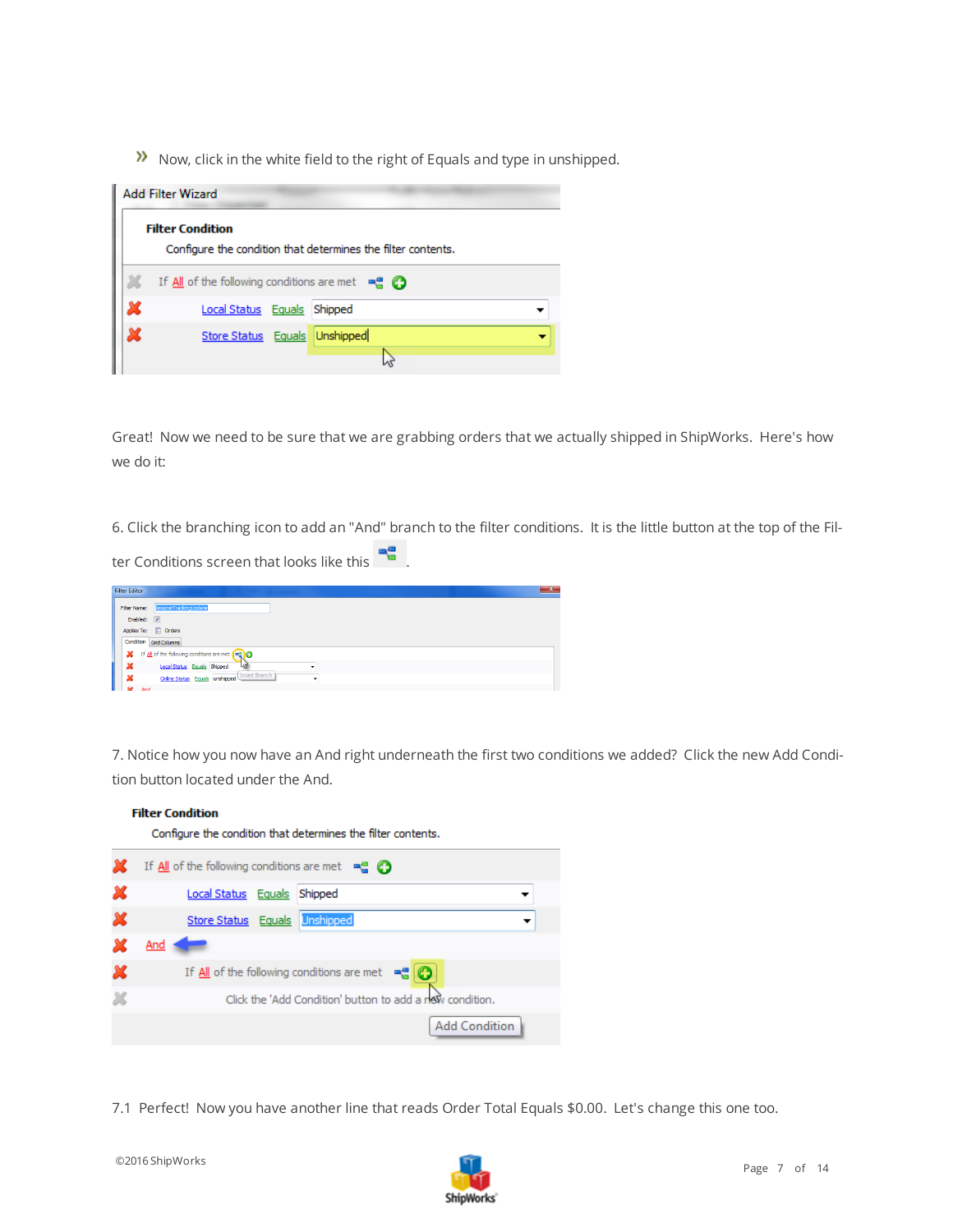$\lambda$  Now, click in the white field to the right of Equals and type in unshipped.

| <b>Add Filter Wizard</b>                                                                    |  |  |  |  |
|---------------------------------------------------------------------------------------------|--|--|--|--|
| <b>Filter Condition</b><br>Configure the condition that determines the filter contents.     |  |  |  |  |
| If $\underline{\mathsf{All}}$ of the following conditions are met $\mathbb{R}^n$ $\bigodot$ |  |  |  |  |
| Local Status Equals Shipped                                                                 |  |  |  |  |
| Unshipped<br>Store Status Equals                                                            |  |  |  |  |
|                                                                                             |  |  |  |  |

Great! Now we need to be sure that we are grabbing orders that we actually shipped in ShipWorks. Here's how we do it:

6. Click the branching icon to add an "And" branch to the filter conditions. It is the little button at the top of the Fil-

ter Conditions screen that looks like this

| <b>Filter Editor</b>                              | $\mathbf{x}$ |
|---------------------------------------------------|--------------|
| AmazonTrackingUpdate<br>Filter Name:              |              |
| Enabled: V                                        |              |
| Applies To: <b>I</b> Orders                       |              |
| Condition Grid Columns                            |              |
| If All of the following conditions are met (      |              |
| ×<br>$\mathcal{A}$<br>Local Status Equals Shipped |              |
| Online Status Equals unshipped Insert Branch<br>x |              |
| And                                               |              |

7. Notice how you now have an And right underneath the first two conditions we added? Click the new Add Condition button located under the And.

|   | <b>Filter Condition</b>                                                                   |
|---|-------------------------------------------------------------------------------------------|
|   | Configure the condition that determines the filter contents.                              |
|   | If $\underline{\mathsf{All}}$ of the following conditions are met $\mathbb{R}$ $\bigcirc$ |
| x | Local Status Equals<br>Shipped                                                            |
| x | Store Status Equals Unshipped                                                             |
|   | And                                                                                       |
| х | If $\underline{\mathsf{All}}$ of the following conditions are met $\mathbb{R}$ $\bigcirc$ |
|   | Click the 'Add Condition' button to add a new condition.                                  |
|   | <b>Add Condition</b>                                                                      |

7.1 Perfect! Now you have another line that reads Order Total Equals \$0.00. Let's change this one too.

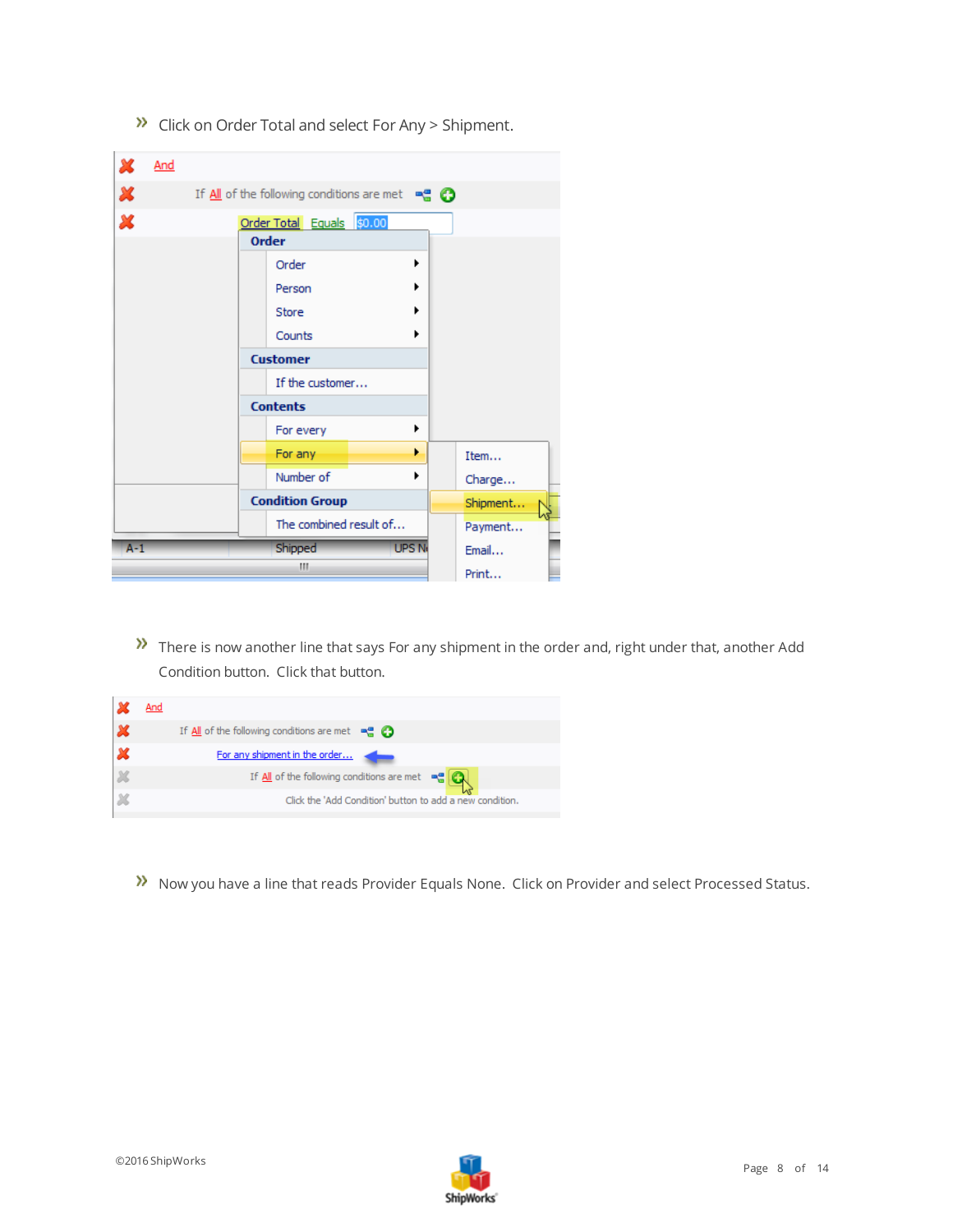| х                         | <u>And</u> |                 |                                                                                             |              |          |
|---------------------------|------------|-----------------|---------------------------------------------------------------------------------------------|--------------|----------|
| $\boldsymbol{\varkappa}$  |            |                 | If $\underline{\mathsf{All}}$ of the following conditions are met $\mathbb{R}^n$ $\bigodot$ |              |          |
| $\boldsymbol{\mathsf{x}}$ |            |                 | Order Total Equals \$0.00                                                                   |              |          |
|                           |            | <b>Order</b>    |                                                                                             |              |          |
|                           |            |                 | Order                                                                                       | ▶            |          |
|                           |            |                 | Person                                                                                      |              |          |
|                           |            |                 | Store                                                                                       |              |          |
|                           |            |                 | Counts                                                                                      |              |          |
|                           |            | <b>Customer</b> |                                                                                             |              |          |
|                           |            |                 | If the customer                                                                             |              |          |
|                           |            | <b>Contents</b> |                                                                                             |              |          |
|                           |            |                 | For every                                                                                   | ٠            |          |
|                           |            |                 | For any                                                                                     | ٠            | Item     |
|                           |            |                 | Number of                                                                                   | ٠            | Charge   |
|                           |            |                 | <b>Condition Group</b>                                                                      |              | Shipment |
|                           |            |                 | The combined result of                                                                      |              | Payment  |
| $A-1$                     |            |                 | Shipped                                                                                     | <b>UPS N</b> | Email    |
|                           |            |                 | Ш                                                                                           |              | Print    |

 $\lambda$  Click on Order Total and select For Any > Shipment.

There is now another line that says For any shipment in the order and, right under that, another Add Condition button. Click that button.

| And |                                                                                             |
|-----|---------------------------------------------------------------------------------------------|
|     | If $\underline{\mathsf{All}}$ of the following conditions are met $\mathbb{R}^n$ $\bigodot$ |
|     | For any shipment in the order                                                               |
|     | If $\underline{\mathsf{All}}$ of the following conditions are met $\mathbb{R}$ $\mathbb{R}$ |
|     | Click the 'Add Condition' button to add a new condition.                                    |

Now you have a line that reads Provider Equals None. Click on Provider and select Processed Status.

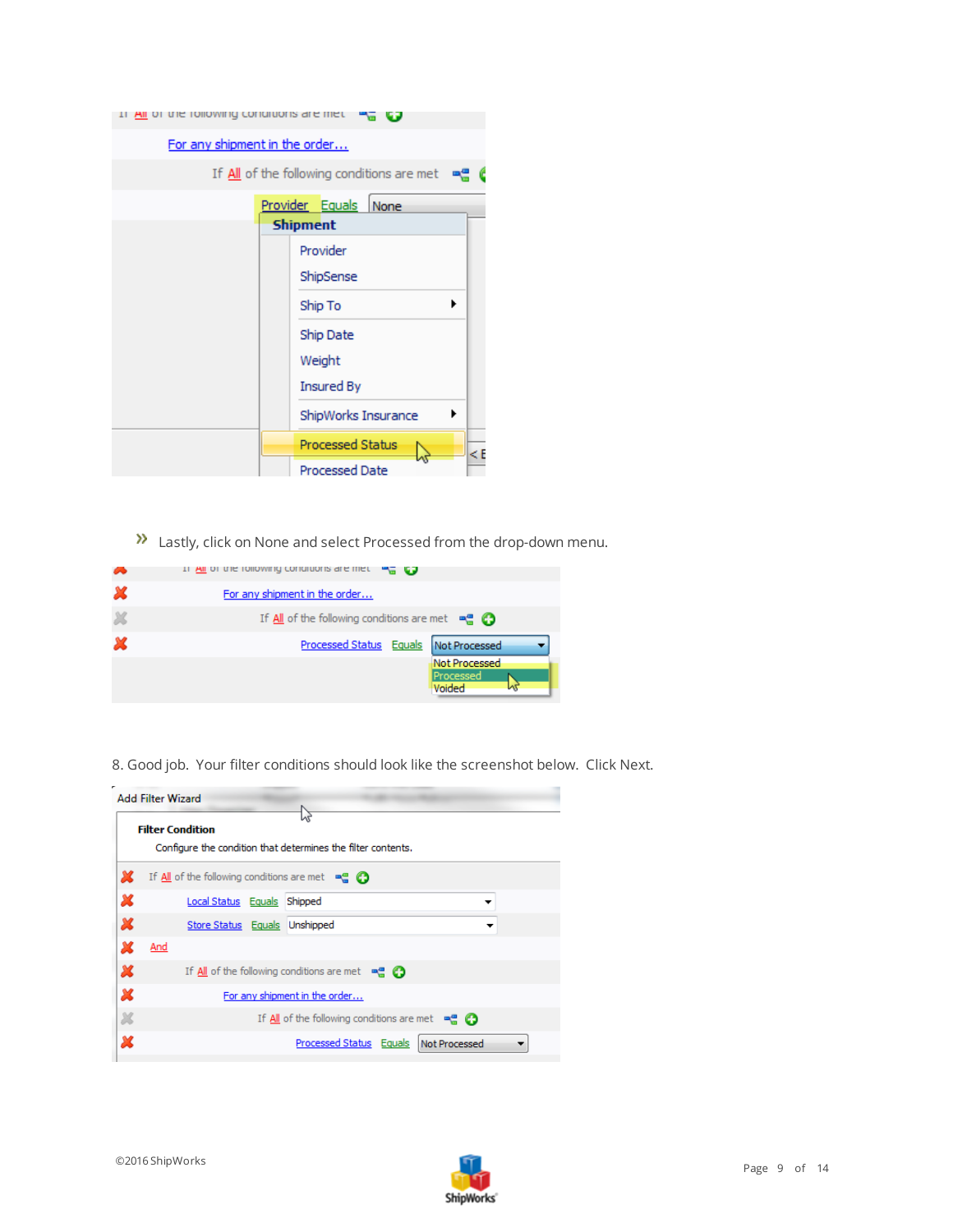| All of the following continuons are met |                                                   |
|-----------------------------------------|---------------------------------------------------|
| For any shipment in the order           |                                                   |
|                                         | If All of the following conditions are met<br>-90 |
|                                         | Provider Equals<br>None                           |
|                                         | <b>Shipment</b>                                   |
|                                         | Provider                                          |
|                                         | ShipSense                                         |
|                                         | ▶<br>Ship To                                      |
|                                         | Ship Date                                         |
|                                         | Weight                                            |
|                                         | <b>Insured By</b>                                 |
|                                         | ▶<br>ShipWorks Insurance                          |
|                                         | <b>Processed Status</b><br>$\leq$ E               |
|                                         | <b>Processed Date</b>                             |

**>>** Lastly, click on None and select Processed from the drop-down menu.

| ∞ | $\frac{1}{2}$ and $\frac{1}{2}$ controller in the controller in the control and the control of the control of the control of the control of the control of the control of the control of the control of the control of the control of |
|---|---------------------------------------------------------------------------------------------------------------------------------------------------------------------------------------------------------------------------------------|
| x | For any shipment in the order                                                                                                                                                                                                         |
| × | If $\underline{\mathsf{All}}$ of the following conditions are met $\mathbb{R}^n$ $\bigodot$                                                                                                                                           |
| x | Processed Status Equals<br>Not Processed                                                                                                                                                                                              |
|   | Not Processed<br>Processed<br>Voided                                                                                                                                                                                                  |

8. Good job. Your filter conditions should look like the screenshot below. Click Next.



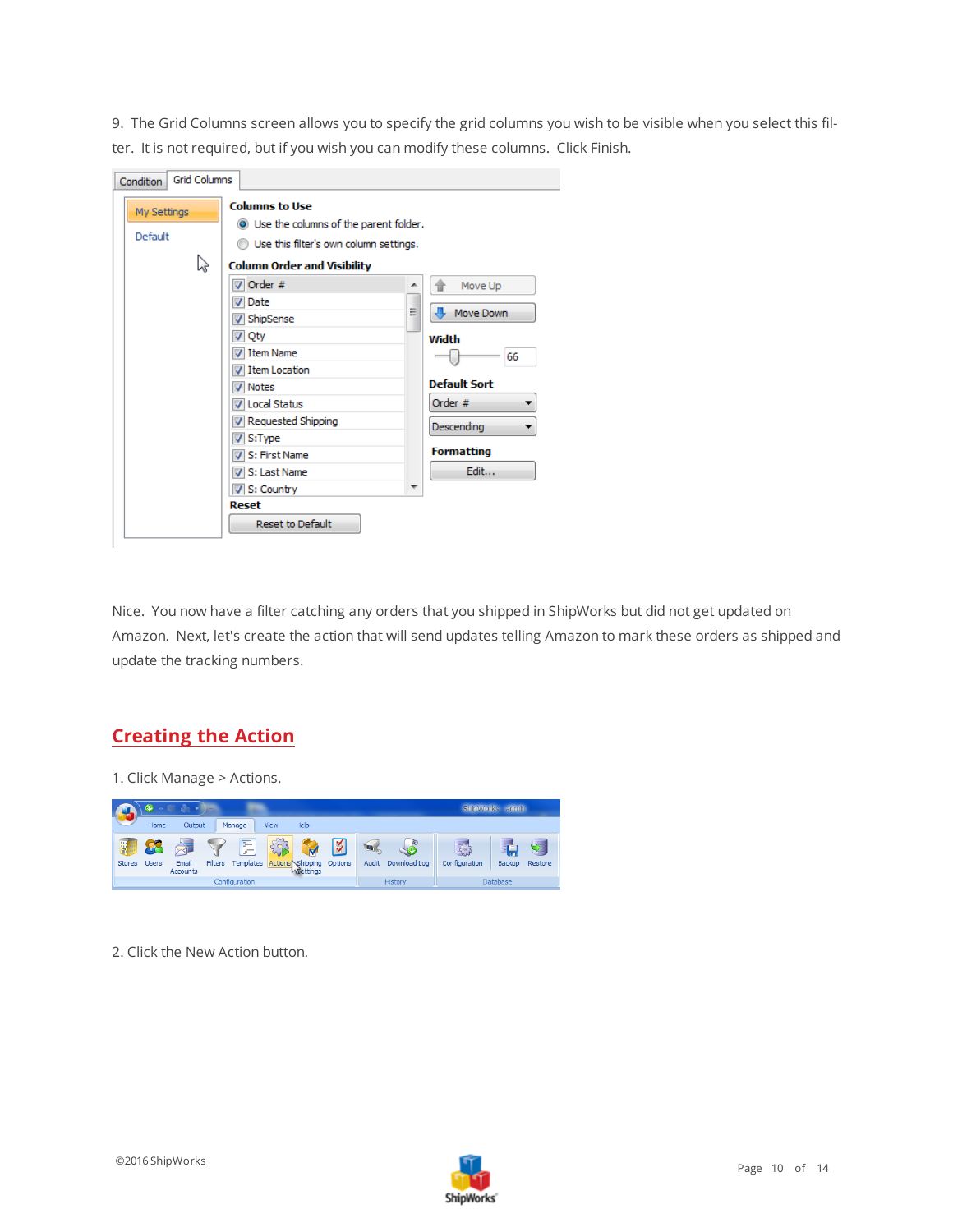9. The Grid Columns screen allows you to specify the grid columns you wish to be visible when you select this filter. It is not required, but if you wish you can modify these columns. Click Finish.

| <b>Grid Columns</b><br>Condition |                                         |   |                        |
|----------------------------------|-----------------------------------------|---|------------------------|
| My Settings                      | <b>Columns to Use</b>                   |   |                        |
|                                  | O Use the columns of the parent folder. |   |                        |
| Default                          | Use this filter's own column settings.  |   |                        |
| hş                               | <b>Column Order and Visibility</b>      |   |                        |
|                                  | $\nabla$ Order #                        | ▴ | Move Up                |
|                                  | Date                                    |   |                        |
|                                  | V ShipSense                             | Ξ | Move Down              |
|                                  | √ Qty                                   |   | Width                  |
|                                  | I tem Name                              |   | 66                     |
|                                  | I Item Location                         |   |                        |
|                                  | <b>V</b> Notes                          |   | <b>Default Sort</b>    |
|                                  | <b>V</b> Local Status                   |   | Order #<br>▼           |
|                                  | V Requested Shipping                    |   | <b>Descending</b><br>▼ |
|                                  | $V$ S:Type                              |   |                        |
|                                  | V S: First Name                         |   | <b>Formatting</b>      |
|                                  | V S: Last Name                          |   | Edit                   |
|                                  | $V$ S: Country                          | ┯ |                        |
|                                  | Reset                                   |   |                        |
|                                  | <b>Reset to Default</b>                 |   |                        |

Nice. You now have a filter catching any orders that you shipped in ShipWorks but did not get updated on Amazon. Next, let's create the action that will send updates telling Amazon to mark these orders as shipped and update the tracking numbers.

### <span id="page-9-0"></span>**Creating the Action**

1. Click Manage > Actions.



2. Click the New Action button.

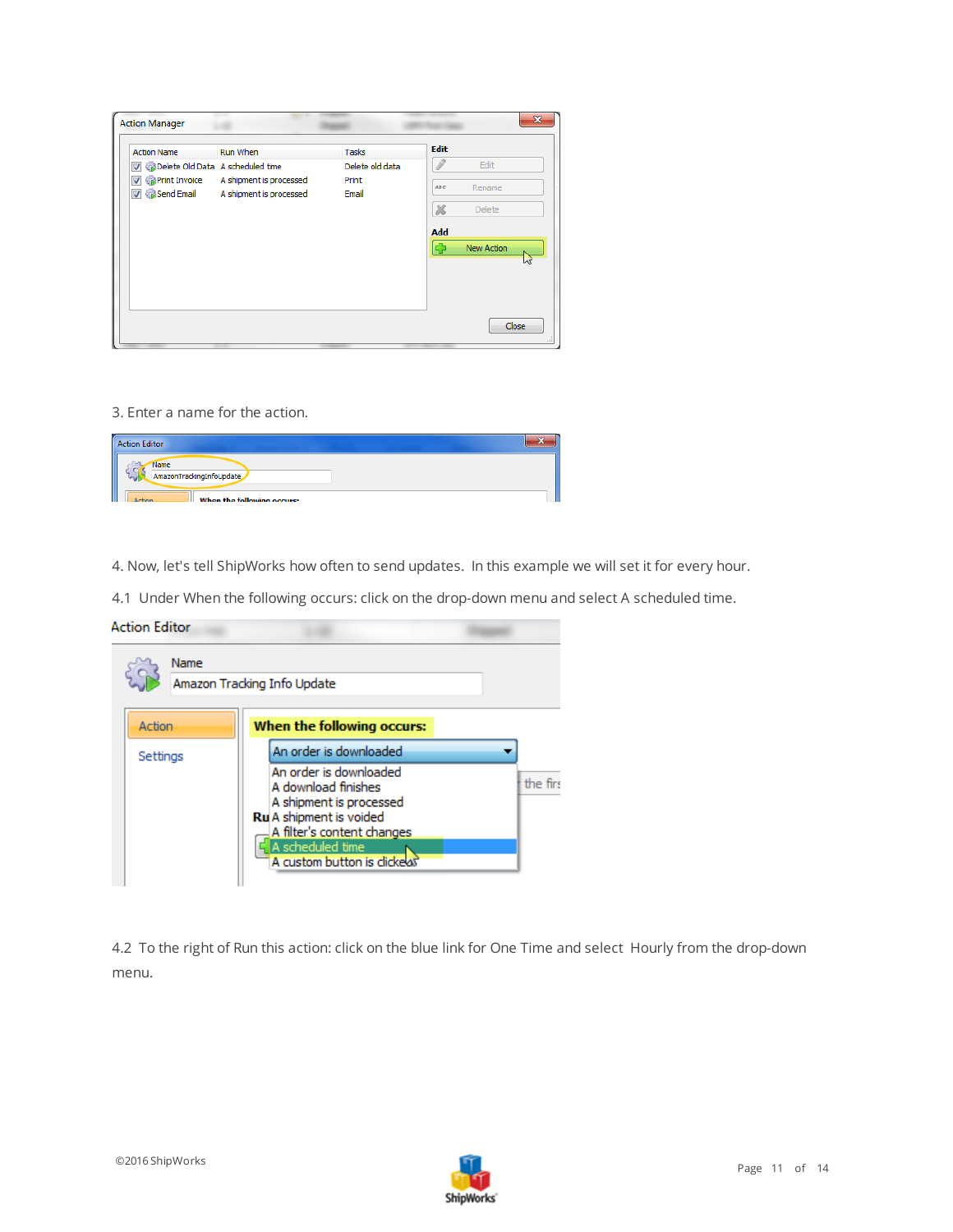| <b>Action Name</b>                                           | Run When                                           | <b>Tasks</b>    | <b>Edit</b>                |                   |
|--------------------------------------------------------------|----------------------------------------------------|-----------------|----------------------------|-------------------|
| Delete Old Data A scheduled time<br>$\overline{\mathcal{A}}$ |                                                    | Delete old data |                            | Edit              |
| <b>V <i>S</i></b> Print Invoice<br>Send Email                | A shipment is processed<br>A shipment is processed | Print<br>Email  | ABC                        | Rename            |
|                                                              |                                                    |                 | $\boldsymbol{\mathcal{X}}$ | <b>Delete</b>     |
|                                                              |                                                    |                 | Add                        |                   |
|                                                              |                                                    |                 | ¢,                         | <b>New Action</b> |
|                                                              |                                                    |                 |                            |                   |
|                                                              |                                                    |                 |                            |                   |
|                                                              |                                                    |                 |                            |                   |

3. Enter a name for the action.

| <b>Action Editor</b>                     |  |
|------------------------------------------|--|
| Name<br>mill<br>AmazonTrackingInfoUpdate |  |
| When the following occurs:<br>Action     |  |

4. Now, let's tell ShipWorks how often to send updates. In this example we will set it for every hour.

4.1 Under When the following occurs: click on the drop-down menu and select A scheduled time.

|          | Name |                                                                                                                                                       |           |
|----------|------|-------------------------------------------------------------------------------------------------------------------------------------------------------|-----------|
|          |      | Amazon Tracking Info Update                                                                                                                           |           |
| Action   |      | When the following occurs:                                                                                                                            |           |
| Settings |      | An order is downloaded                                                                                                                                |           |
|          |      | An order is downloaded<br>A download finishes<br>A shipment is processed<br>Ru A shipment is voided<br>A filter's content changes<br>A scheduled time | the first |

4.2 To the right of Run this action: click on the blue link for One Time and select Hourly from the drop-down menu.

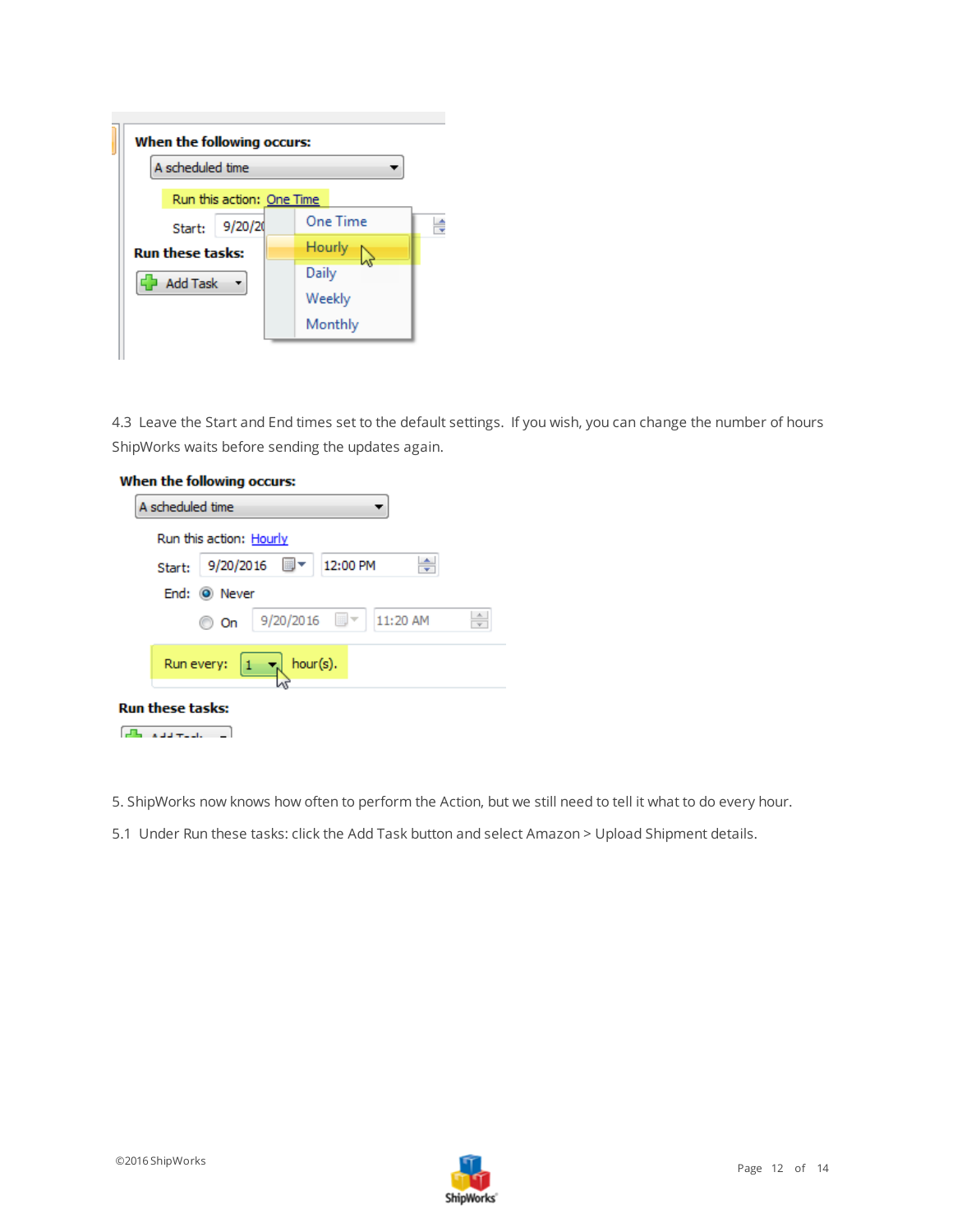

4.3 Leave the Start and End times set to the default settings. If you wish, you can change the number of hours ShipWorks waits before sending the updates again.



- 5. ShipWorks now knows how often to perform the Action, but we still need to tell it what to do every hour.
- 5.1 Under Run these tasks: click the Add Task button and select Amazon > Upload Shipment details.

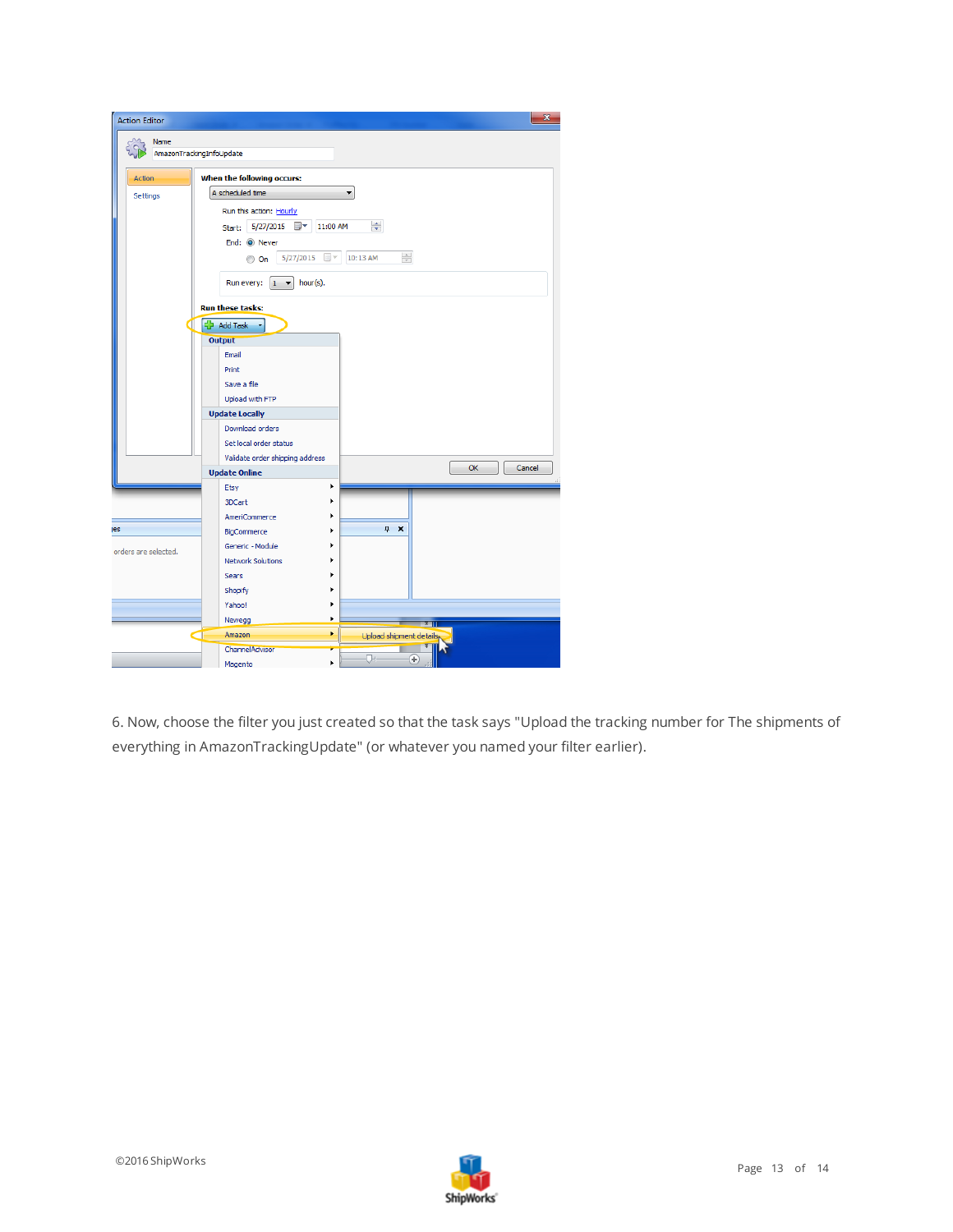

6. Now, choose the filter you just created so that the task says "Upload the tracking number for The shipments of everything in AmazonTrackingUpdate" (or whatever you named your filter earlier).